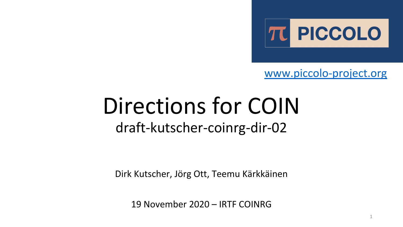

[www.piccolo-project.org](http://www.piccolo-project.org)

1

## Directions for COIN draft-kutscher-coinrg-dir-02

Dirk Kutscher, Jörg Ott, Teemu Kärkkäinen

19 November 2020 – IRTF COINRG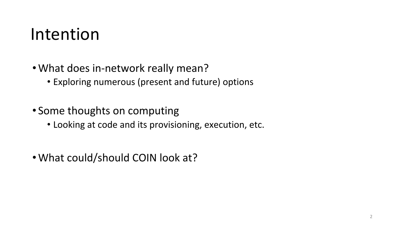#### Intention

- •What does in-network really mean?
	- Exploring numerous (present and future) options
- Some thoughts on computing
	- Looking at code and its provisioning, execution, etc.
- •What could/should COIN look at?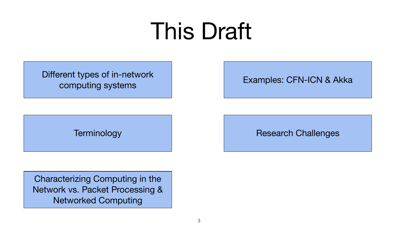# This Draft

Different types of in-network computing systems

Examples: CFN-ICN & Akka

**Terminology** 

Research Challenges

Characterizing Computing in the Network vs. Packet Processing & Networked Computing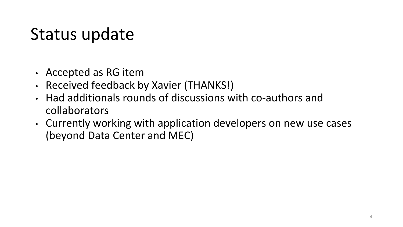#### Status update

- Accepted as RG item
- Received feedback by Xavier (THANKS!)
- Had additionals rounds of discussions with co-authors and collaborators
- Currently working with application developers on new use cases (beyond Data Center and MEC)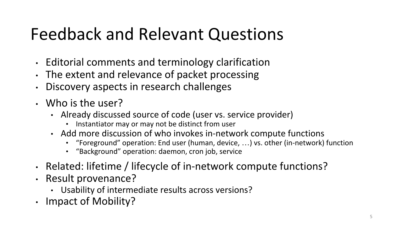## Feedback and Relevant Questions

- Editorial comments and terminology clarification
- The extent and relevance of packet processing
- Discovery aspects in research challenges
- Who is the user?
	- Already discussed source of code (user vs. service provider)
		- Instantiator may or may not be distinct from user
	- Add more discussion of who invokes in-network compute functions
		- "Foreground" operation: End user (human, device, …) vs. other (in-network) function
		- "Background" operation: daemon, cron job, service
- Related: lifetime / lifecycle of in-network compute functions?
- Result provenance?
	- Usability of intermediate results across versions?
- Impact of Mobility?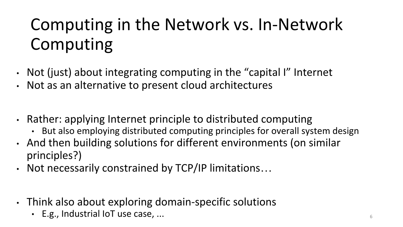## Computing in the Network vs. In-Network Computing

- Not (just) about integrating computing in the "capital I" Internet
- Not as an alternative to present cloud architectures
- Rather: applying Internet principle to distributed computing
	- But also employing distributed computing principles for overall system design
- And then building solutions for different environments (on similar principles?)
- Not necessarily constrained by TCP/IP limitations…
- Think also about exploring domain-specific solutions
	- E.g., Industrial IoT use case, ... <sup>6</sup>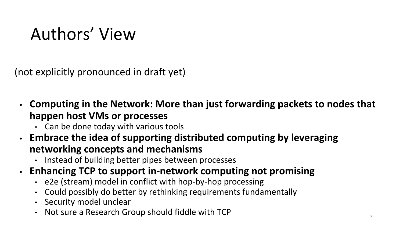## Authors' View

(not explicitly pronounced in draft yet)

- **• Computing in the Network: More than just forwarding packets to nodes that happen host VMs or processes**
	- Can be done today with various tools
- **• Embrace the idea of supporting distributed computing by leveraging networking concepts and mechanisms**
	- Instead of building better pipes between processes
- **• Enhancing TCP to support in-network computing not promising**
	- e2e (stream) model in conflict with hop-by-hop processing
	- Could possibly do better by rethinking requirements fundamentally
	- Security model unclear
	- Not sure a Research Group should fiddle with TCP  $\frac{1}{7}$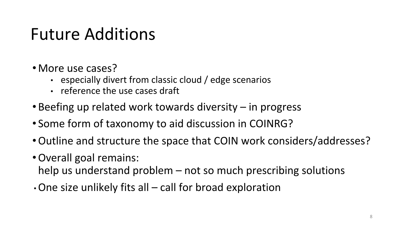#### Future Additions

- More use cases?
	- especially divert from classic cloud / edge scenarios
	- reference the use cases draft
- Beefing up related work towards diversity in progress
- Some form of taxonomy to aid discussion in COINRG?
- •Outline and structure the space that COIN work considers/addresses?
- •Overall goal remains:
	- help us understand problem not so much prescribing solutions
- $\cdot$  One size unlikely fits all call for broad exploration